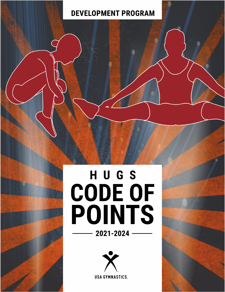# **DEVELOPMENT PROGRAM**

# HUGS<br>CODE OF<br>POINTS 2021-2024

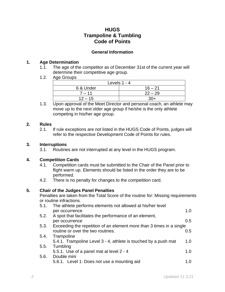# **HUGS Trampoline & Tumbling Code of Points**

### **General Information**

#### **1. Age Determination**

- 1.1. The age of the competitor as of December 31st of the current year will determine their competitive age group.
- 1.2. Age Groups

|           | Levels $1 - 4$ |
|-----------|----------------|
| 6 & Under | $16 - 21$      |
| $7 - 11$  | $22 - 29$      |
| $12 - 15$ | $30+$          |

1.3. Upon approval of the Meet Director and personal coach, an athlete may move up to the next older age group if he/she is the only athlete competing in his/her age group.

### **2. Rules**

2.1. If rule exceptions are not listed in the HUGS Code of Points, judges will refer to the respective Development Code of Points for rules.

# **3. Interruptions**

3.1. Routines are not interrupted at any level in the HUGS program.

# **4. Competition Cards**

- 4.1. Competition cards must be submitted to the Chair of the Panel prior to flight warm up. Elements should be listed in the order they are to be performed.
- 4.2. There is no penalty for changes to the competition card.

# **5. Chair of the Judges Panel Penalties**

Penalties are taken from the Total Score of the routine for: Missing requirements or routine infractions.

| 5.1. | The athlete performs elements not allowed at his/her level           |               |
|------|----------------------------------------------------------------------|---------------|
|      | per occurrence                                                       | 1.0           |
| 5.2. | A spot that facilitates the performance of an element,               |               |
|      | per occurrence                                                       | 0.5           |
| 5.3. | Exceeding the repetition of an element more than 3 times in a single |               |
|      | routine or over the two routines.                                    | $0.5^{\circ}$ |
| 5.4. | Trampoline                                                           |               |
|      | 5.4.1. Trampoline Level 3 - 4, athlete is touched by a push mat      | 1.0           |
| 5.5. | Tumbling                                                             |               |
|      | 5.5.1. Use of a panel mat at level 2 - 4                             | 1.O           |
| 5.6. | Double mini                                                          |               |
|      | 5.6.1. Level 1: Does not use a mounting aid                          |               |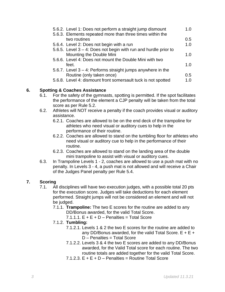| 5.6.2. Level 1: Does not perform a straight jump dismount          | 1.0           |
|--------------------------------------------------------------------|---------------|
| 5.6.3. Elements repeated more than three times within the          |               |
| two routines                                                       | $0.5^{\circ}$ |
| 5.6.4. Level 2: Does not begin with a run                          | 1.0           |
| 5.6.5. Level $3 - 4$ : Does not begin with run and hurdle prior to |               |
| Mounting the Double Mini                                           | 1.0           |
| 5.6.6. Level 4: Does not mount the Double Mini with two            |               |
| feet.                                                              | 1.0           |
| 5.6.7. Level $3 - 4$ : Performs straight jumps anywhere in the     |               |
| Routine (only taken once)                                          | 0.5           |
| 5.6.8. Level 4: dismount front somersault tuck is not spotted      | 1 በ           |

# **6. Spotting & Coaches Assistance**

- 6.1. For the safety of the gymnasts, spotting is permitted. If the spot facilitates the performance of the element a CJP penalty will be taken from the total score as per Rule 5.2.
- 6.2. Athletes will NOT receive a penalty if the coach provides visual or auditory assistance.
	- 6.2.1. Coaches are allowed to be on the end deck of the trampoline for athletes who need visual or auditory cues to help in the performance of their routine.
	- 6.2.2. Coaches are allowed to stand on the tumbling floor for athletes who need visual or auditory cue to help in the performance of their routine.
	- 6.2.3. Coaches are allowed to stand on the landing area of the double mini trampoline to assist with visual or auditory cues.
- 6.3. In Trampoline Levels 1 2, coaches are allowed to use a push mat with no penalty. In Levels 3 - 4, a push mat is not allowed and will receive a Chair of the Judges Panel penalty per Rule 5.4.

# **7. Scoring**

- 7.1. All disciplines will have two execution judges, with a possible total 20 pts for the execution score. Judges will take deductions for each element performed. Straight jumps will not be considered an element and will not be judged.
	- 7.1.1. **Trampoline:** The two E scores for the routine are added to any DD/Bonus awarded, for the valid Total Score.
		- $7.1.1.1$ .  $E + E + D$  Penalties = Total Score
	- 7.1.2. **Tumbling:**
		- 7.1.2.1. Levels 1 & 2 the two E scores for the routine are added to any DD/Bonus awarded, for the valid Total Score.  $E + E +$ D – Penalties = Total Score
		- 7.1.2.2. Levels 3 & 4 the two E scores are added to any DD/Bonus awarded, for the Valid Total score for each routine. The two routine totals are added together for the valid Total Score.
		- $7.1.2.3$ .  $F + F + D$  Penalties = Routine Total Score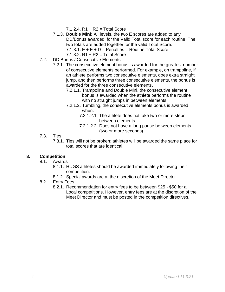$7.1.2.4. R1 + R2 = Total Score$ 

- 7.1.3. **Double Mini:** All levels, the two E scores are added to any DD/Bonus awarded, for the Valid Total score for each routine. The two totals are added together for the valid Total Score. 7.1.3.1.  $E + E + D$  – Penalties = Routine Total Score 7.1.3.2. R1 + R2 = Total Score
- 7.2. DD Bonus / Consecutive Elements
	- 7.2.1. The consecutive element bonus is awarded for the greatest number of consecutive elements performed. For example, on trampoline, if an athlete performs two consecutive elements, does extra straight jump, and then performs three consecutive elements, the bonus is awarded for the three consecutive elements.
		- 7.2.1.1. Trampoline and Double Mini, the consecutive element bonus is awarded when the athlete performs the routine with no straight jumps in between elements.
		- 7.2.1.2. Tumbling, the consecutive elements bonus is awarded when:
			- 7.2.1.2.1. The athlete does not take two or more steps between elements
			- 7.2.1.2.2. Does not have a long pause between elements (two or more seconds)
- 7.3. Ties
	- 7.3.1. Ties will not be broken; athletes will be awarded the same place for total scores that are identical.

#### **8. Competition**

- 8.1. Awards
	- 8.1.1. HUGS athletes should be awarded immediately following their competition.
	- 8.1.2. Special awards are at the discretion of the Meet Director.
- 8.2. Entry Fees
	- 8.2.1. Recommendation for entry fees to be between \$25 \$50 for all Local competitions. However, entry fees are at the discretion of the Meet Director and must be posted in the competition directives.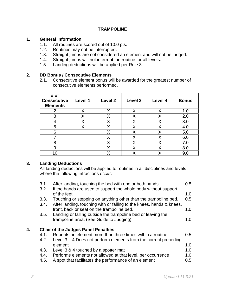#### **TRAMPOLINE**

#### **1. General Information**

- 1.1. All routines are scored out of 10.0 pts.
- 1.2. Routines may not be interrupted.<br>1.3. Straight jumps are not considered
- Straight jumps are not considered an element and will not be judged.
- 1.4. Straight jumps will not interrupt the routine for all levels.
- 1.5. Landing deductions will be applied per Rule 3.

#### **2. DD Bonus / Consecutive Elements**

2.1. Consecutive element bonus will be awarded for the greatest number of consecutive elements performed.

| # of<br><b>Consecutive</b><br><b>Elements</b> | Level 1 | Level 2 | Level 3 | Level 4 | <b>Bonus</b> |
|-----------------------------------------------|---------|---------|---------|---------|--------------|
| າ                                             | Χ       | Χ       | Χ       | Χ       | 1.0          |
| 3                                             | Χ       | Χ       | Χ       | Χ       | 2.0          |
|                                               | Χ       | Χ       | Χ       | Χ       | 3.0          |
| 5                                             | Χ       | Х       | Χ       | Χ       | 4.0          |
| 6                                             |         | Χ       | Х       | Х       | 5.0          |
|                                               |         | Х       | Χ       | Χ       | 6.0          |
| 8                                             |         | Χ       | Χ       | Χ       | 7.0          |
| 9                                             |         | Χ       | Χ       | Χ       | 8.0          |
|                                               |         | χ       | Χ       | Х       | 9.0          |

#### **3. Landing Deductions**

All landing deductions will be applied to routines in all disciplines and levels where the following infractions occur.

|    | 3.1. | After landing, touching the bed with one or both hands               | 0.5 |
|----|------|----------------------------------------------------------------------|-----|
|    | 3.2. | If the hands are used to support the whole body without support      |     |
|    |      | of the feet.                                                         | 1.0 |
|    | 3.3. | Touching or stepping on anything other than the trampoline bed.      | 0.5 |
|    |      |                                                                      |     |
|    | 3.4. | After landing, touching with or falling to the knees, hands & knees, |     |
|    |      | front, back or seat on the trampoline bed.                           | 1.0 |
|    | 3.5. | Landing or falling outside the trampoline bed or leaving the         |     |
|    |      | trampoline area. (See Guide to Judging)                              | 1.0 |
|    |      |                                                                      |     |
|    |      |                                                                      |     |
| 4. |      | <b>Chair of the Judges Panel Penalties</b>                           |     |
|    | 4.1. | Repeats an element more than three times within a routine            | 0.5 |
|    | 4.2. | Level $3 - 4$ Does not perform elements from the correct preceding   |     |
|    |      | element                                                              | 1.0 |
|    |      |                                                                      |     |
|    | 4.3. | Level 3 & 4 touched by a spotter mat                                 | 1.0 |
|    | 4.4. | Performs elements not allowed at that level, per occurrence          | 1.0 |
|    | 4.5. | A spot that facilitates the performance of an element                | 0.5 |
|    |      |                                                                      |     |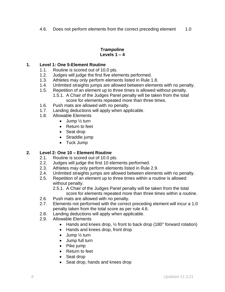4.6. Does not perform elements from the correct preceding element 1.0

#### **Trampoline Levels 1 – 4**

# **1. Level 1: One 5-Element Routine**

- 1.1. Routine is scored out of 10.0 pts.
- 1.2. Judges will judge the first five elements performed.
- 1.3. Athletes may only perform elements listed in Rule 1.8.
- 1.4. Unlimited straights jumps are allowed between elements with no penalty.
- 1.5. Repetition of an element up to three times is allowed without penalty. 1.5.1. A Chair of the Judges Panel penalty will be taken from the total
	- score for elements repeated more than three times.
- 1.6. Push mats are allowed with no penalty.
- 1.7. Landing deductions will apply when applicable.
- 1.8. Allowable Elements
	- Jump 1/<sub>2</sub> turn
	- Return to feet
	- Seat drop
	- Straddle jump
	- Tuck Jump

#### **2. Level 2: One 10 – Element Routine**

- 2.1. Routine is scored out of 10.0 pts.
- 2.2. Judges will judge the first 10 elements performed.
- 2.3. Athletes may only perform elements listed in Rule 2.9.
- 2.4. Unlimited straights jumps are allowed between elements with no penalty.
- 2.5. Repetition of an element up to three times within a routine is allowed without penalty.
	- 2.5.1. A Chair of the Judges Panel penalty will be taken from the total score for elements repeated more than three times within a routine.
- 2.6. Push mats are allowed with no penalty.
- 2.7. Elements not performed with the correct preceding element will incur a 1.0 penalty taken from the total score as per rule 4.6.
- 2.8. Landing deductions will apply when applicable.
- 2.9. Allowable Elements
	- Hands and knees drop,  $\frac{1}{2}$  front to back drop (180 $\degree$  forward rotation)
	- Hands and knees drop, front drop
	- Jump 1/2 turn
	- Jump full turn
	- Pike jump
	- Return to feet
	- Seat drop
	- Seat drop, hands and knees drop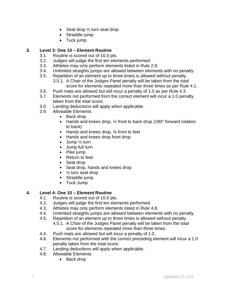- Seat drop 1/2 turn seat drop
- Straddle jump
- Tuck jump

# **3. Level 3: One 10 – Element Routine**

- 3.1. Routine is scored out of 10.0 pts.
- 3.2. Judges will judge the first ten elements performed.
- 3.3. Athletes may only perform elements listed in Rule 2.9.
- 3.4. Unlimited straights jumps are allowed between elements with no penalty.
- 3.5. Repetition of an element up to three times is allowed without penalty. 3.5.1. A Chair of the Judges Panel penalty will be taken from the total score for elements repeated more than three times as per Rule 4.1.
- 3.6. Push mats are allowed but will incur a penalty of 1.0 as per Rule 4.3.
- 3.7. Elements not performed from the correct element will incur a 1.0 penalty, taken from the total score.
- 3.5. Landing deductions will apply when applicable.
- 3.9. Allowable Elements
	- Back drop
	- **Hands and knees drop,**  $\frac{1}{2}$  **front to back drop (180** $\degree$  **forward rotation** to back)
	- $\blacksquare$  Hands and knees drop,  $\frac{3}{4}$  front to feet
	- Hands and knees drop front drop  $\blacksquare$
	- Jump ½ turn  $\blacksquare$
	- Jump full turn  $\mathbf{u}$  .
	- Pike jump
	- **Return to feet**
	- Seat drop
	- **Seat drop, hands and knees drop**
	- $\blacksquare$   $\frac{1}{2}$  turn seat drop
	- Straddle jump
	- **Tuck Jump**

# **4. Level 4: One 10 – Element Routine**

- 4.1. Routine is scored out of 10.0 pts.
- 4.2. Judges will judge the first ten elements performed.
- 4.3. Athletes may only perform elements listed in Rule 4.8.
- 4.4. Unlimited straights jumps are allowed between elements with no penalty.
- 4.5. Repetition of an element up to three times is allowed without penalty.
	- 4.5.1. A Chair of the Judges Panel penalty will be taken from the total score for elements repeated more than three times.
- 4.4. Push mats are allowed but will incur a penalty of 1.0.
- 4.6. Elements not performed with the correct preceding element will incur a 1.0 penalty taken from the total score.
- 4.7. Landing deductions will apply when applicable.
- 4.8. Allowable Elements
	- Back drop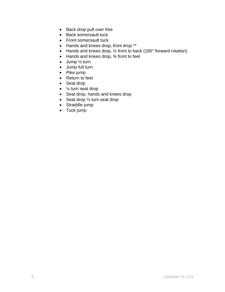- Back drop pull over free
- Back somersault tuck
- Front somersault tuck
- Hands and knees drop, front drop \*\*
- Hands and knees drop, ½ front to back (180° forward rotation)
- Hands and knees drop, 34 front to feet
- Jump 1/2 turn
- Jump full turn
- Pike jump
- Return to feet
- Seat drop
- 1/<sub>2</sub> turn seat drop
- Seat drop, hands and knees drop
- Seat drop 1/2 turn seat drop
- Straddle jump
- Tuck jump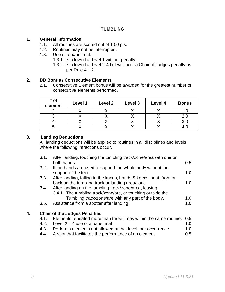#### **TUMBLING**

#### **1. General Information**

- 1.1. All routines are scored out of 10.0 pts.
- 1.2. Routines may not be interrupted.
- 1.3. Use of a panel mat:
	- 1.3.1. Is allowed at level 1 without penalty
		- 1.3.2. Is allowed at level 2-4 but will incur a Chair of Judges penalty as per Rule 4.1.2.

### **2. DD Bonus / Consecutive Elements**

2.1. Consecutive Element bonus will be awarded for the greatest number of consecutive elements performed.

| # of<br>element | Level 1 | Level 2 | Level 3 | Level 4 | <b>Bonus</b> |
|-----------------|---------|---------|---------|---------|--------------|
|                 |         |         |         |         |              |
|                 |         |         |         |         | z.u          |
|                 |         |         |         |         | 3.0          |
|                 |         |         |         |         |              |

# **3. Landing Deductions**

All landing deductions will be applied to routines in all disciplines and levels where the following infractions occur.

|    | 3.1. | After landing, touching the tumbling track/zone/area with one or<br>both hands.                                        | 0.5 |
|----|------|------------------------------------------------------------------------------------------------------------------------|-----|
|    | 3.2. | If the hands are used to support the whole body without the<br>support of the feet.                                    | 1.0 |
|    | 3.3. | After landing, falling to the knees, hands & knees, seat, front or<br>back on the tumbling track or landing area/zone. | 1.0 |
|    | 3.4. | After landing on the tumbling track/zone/area, leaving<br>3.4.1. The tumbling track/zone/are, or touching outside the  |     |
|    |      | Tumbling track/zone/are with any part of the body.                                                                     | 1.0 |
|    | 3.5. | Assistance from a spotter after landing.                                                                               | 1.0 |
| 4. |      | <b>Chair of the Judges Penalties</b>                                                                                   |     |
|    | 4.1. | Elements repeated more than three times within the same routine.                                                       | 0.5 |
|    | 4.2. | Level $2 - 4$ use of a panel mat                                                                                       | 1.0 |
|    | 4.3. | Performs elements not allowed at that level, per occurrence                                                            | 1.0 |

4.4. A spot that facilitates the performance of an element 0.5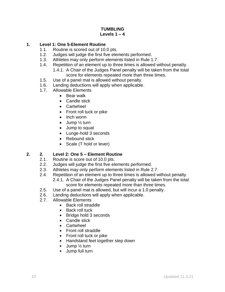#### **TUMBLING Levels 1 – 4**

# **1. Level 1: One 5-Element Routine**

- 1.1. Routine is scored out of 10.0 pts.
- 1.2. Judges will judge the first five elements performed.
- 1.3. Athletes may only perform elements listed in Rule 1.7.
- 1.4. Repetition of an element up to three times is allowed without penalty. 1.4.1. A Chair of the Judges Panel penalty will be taken from the total score for elements repeated more than three times.
- 1.5. Use of a panel mat is allowed without penalty.
- 1.6. Landing deductions will apply when applicable.
- 1.7. Allowable Elements
	- Bear walk
	- Candle stick
	- Cartwheel
	- Front roll tuck or pike
	- Inch worm
	- Jump 1/2 turn
	- Jump to squat
	- Lunge-hold 3 seconds
	- Rebound stick
	- Scale (T hold or lever)

# **2. 2. Level 2: One 5 – Element Routine**

- 2.1. Routine is score out of 10.0 pts.
- 2.2. Judges will judge the first five elements performed.
- 2.3. Athletes may only perform elements listed in Rule 2.7.
- 2.4. Repetition of an element up to three times is allowed without penalty. 2.4.1. A Chair of the Judges Panel penalty will be taken from the total score for elements repeated more than three times.
- 2.5. Use of a panel mat is allowed, but will incur a 1.0 penalty.
- 2.6. Landing deductions will apply when applicable.
- 2.7. Allowable Elements
	- Back roll straddle  $\blacksquare$
	- Back roll tuck  $\mathbf{r}$
	- Bridge hold 3 seconds
	- **Candle stick**
	- **Cartwheel**
	- Front roll straddle
	- Front roll tuck or pike  $\mathbf{r}$
	- **Handstand feet together step down**
	- $\mathbf{u}$  . Jump ½ turn
	- Jump full turn $\blacksquare$  .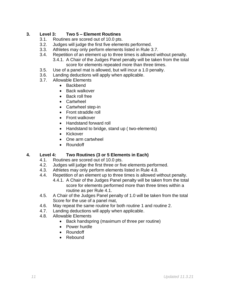# **3. Level 3: Two 5 – Element Routines**

- 3.1. Routines are scored out of 10.0 pts.
- 3.2. Judges will judge the first five elements performed.
- 3.3. Athletes may only perform elements listed in Rule 3.7.
- 3.4. Repetition of an element up to three times is allowed without penalty.
	- 3.4.1. A Chair of the Judges Panel penalty will be taken from the total score for elements repeated more than three times.
- 3.5. Use of a panel mat is allowed, but will incur a 1.0 penalty.
- 3.6. Landing deductions will apply when applicable.
- 3.7. Allowable Elements
	- Backbend
	- Back walkover
	- Back roll free
	- Cartwheel
	- Cartwheel step-in
	- Front straddle roll
	- Front walkover
	- Handstand forward roll
	- Handstand to bridge, stand up ( two-elements)
	- Kickover
	- One arm cartwheel
	- Roundoff

# **4. Level 4: Two Routines (3 or 5 Elements in Each)**

- 4.1. Routines are scored out of 10.0 pts.
- 4.2. Judges will judge the first three or five elements performed.
- 4.3. Athletes may only perform elements listed in Rule 4.8.
- 4.4. Repetition of an element up to three times is allowed without penalty.
	- 4.4.1. A Chair of the Judges Panel penalty will be taken from the total score for elements performed more than three times within a routine as per Rule 4.1.
- 4.5. A Chair of the Judges Panel penalty of 1.0 will be taken from the total Score for the use of a panel mat,
- 4.6. May repeat the same routine for both routine 1 and routine 2.
- 4.7. Landing deductions will apply when applicable.
- 4.8. Allowable Elements
	- Back handspring (maximum of three per routine)
	- Power hurdle
	- Roundoff
	- Rebound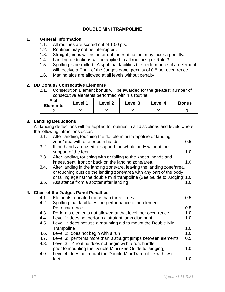# **DOUBLE MINI TRAMPOLINE**

#### **1. General Information**

- 1.1. All routines are scored out of 10.0 pts.
- 1.2. Routines may not be interrupted.
- 1.3. Straight jumps will not interrupt the routine, but may incur a penalty.
- 1.4. Landing deductions will be applied to all routines per Rule 3.
- 1.5. Spotting is permitted. A spot that facilities the performance of an element will receive a Chair of the Judges panel penalty of 0.5 per occurrence.
- 1.6. Matting aids are allowed at all levels without penalty.

#### **2. DD Bonus / Consecutive Elements**

2.1. Consecution Element bonus will be awarded for the greatest number of consecutive elements performed within a routine.

| # of<br><b>Elements</b> | $\textcolor{blue}{\mathsf{\sim}$ evel 1 | <b>Level 2</b> | Level 3 | Level 4 | <b>Bonus</b> |
|-------------------------|-----------------------------------------|----------------|---------|---------|--------------|
|                         |                                         |                |         |         |              |

#### **3. Landing Deductions**

All landing deductions will be applied to routines in all disciplines and levels where the following infractions occur.

| 3.1. | After landing, touching the double mini trampoline or landing                                                                                |     |
|------|----------------------------------------------------------------------------------------------------------------------------------------------|-----|
|      | zone/area with one or both hands                                                                                                             | 0.5 |
| 3.2. | If the hands are used to support the whole body without the                                                                                  |     |
|      | support of the feet.                                                                                                                         | 1.0 |
| 3.3. | After landing, touching with or falling to the knees, hands and                                                                              |     |
|      | knees, seat, front or back on the landing zone/area.                                                                                         | 1.0 |
| 3.4. | After landing in the landing zone/are, leaving the landing zone/area,<br>or touching outside the landing zone/area with any part of the body |     |
|      | or falling against the double mini trampoline (See Guide to Judging) 1.0                                                                     |     |
| 3.5. | Assistance from a spotter after landing                                                                                                      | 1.0 |
|      | 4. Chair of the Judges Panel Penalties                                                                                                       |     |
| 4.1. | Elements repeated more than three times.                                                                                                     | 0.5 |
| 4.2. | Spotting that facilitates the performance of an element                                                                                      |     |
|      | Per occurrence                                                                                                                               | 0.5 |
| 4.3. | Performs elements not allowed at that level, per occurrence                                                                                  | 1.0 |
| 4.4. | Level 1: does not perform a straight jump dismount                                                                                           | 1.0 |
| 4.5. | Level 1: does not use a mounting aid to mount the Double Mini                                                                                |     |
|      | Trampoline                                                                                                                                   | 1.0 |
| 4.6. | Level 2: does not begin with a run                                                                                                           | 1.0 |
| 4.7. | Level 3: performs more than 3 straight jumps between elements                                                                                | 0.5 |
| 4.8. | Level $3 - 4$ routine does not begin with a run, hurdle                                                                                      |     |
|      | prior to mounting the Double Mini (See Guide to Judging)                                                                                     | 1.0 |
| 4.9. | Level 4: does not mount the Double Mini Trampoline with two                                                                                  |     |
|      | feet.                                                                                                                                        | 1.0 |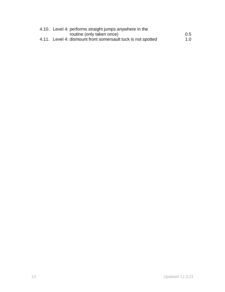| 4.10. Level 4: performs straight jumps anywhere in the       |               |
|--------------------------------------------------------------|---------------|
| routine (only taken once)                                    | $0.5^{\circ}$ |
| 4.11. Level 4: dismount front somersault tuck is not spotted | 1.0           |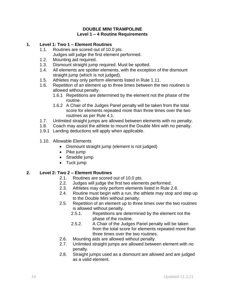#### **DOUBLE MINI TRAMPOLINE Level 1 – 4 Routine Requirements**

#### **1. Level 1: Two 1 – Element Routines**

- 1.1. Routines are scored out of 10.0 pts. Judges will judge the first element performed.
- 1.2. Mounting aid required.
- 1.3. Dismount straight jump required. Must be spotted.
- 1.4. All elements are spotter elements, with the exception of the dismount straight jump (which is not judged).
- 1.5. Athletes may only perform elements listed in Rule 1.11.
- 1.6. Repetition of an element up to three times between the two routines is allowed without penalty.
	- 1.6.1 Repetitions are determined by the element not the phase of the routine.
	- 1.6.2 A Chair of the Judges Panel penalty will be taken from the total score for elements repeated more than three times over the two routines as per Rule 4.1.
- 1.7. Unlimited straight jumps are allowed between elements with no penalty.
- 1.8. Coach may assist the athlete to mount the Double Mini with no penalty.
- 1.9.1 Landing deductions will apply when applicable.
- 1.10. Allowable Elements
	- Dismount straight jump (element is not judged)
	- Pike jump
	- Straddle jump
	- Tuck jump

# **2. Level 2: Two 2 – Element Routines**

- 2.1. Routines are scored out of 10.0 pts.
- 2.2. Judges will judge the first two elements performed.
- 2.3. Athletes may only perform elements listed in Rule 2.8.
- 2.4. Routine must begin with a run, the athlete may stop and step up to the Double Mini without penalty.
- 2.5. Repetition of an element up to three times over the two routines is allowed without penalty.
	- 2.5.1. Repetitions are determined by the element not the phase of the routine.
	- 2.5.2. A Chair of the Judges Panel penalty will be taken from the total score for elements repeated more than three times over the two routines.
- 2.6. Mounting aids are allowed without penalty.
- 2.7. Unlimited straight jumps are allowed between element with no penalty.
- 2.8. Straight jumps used as a dismount are allowed and are judged as a valid element.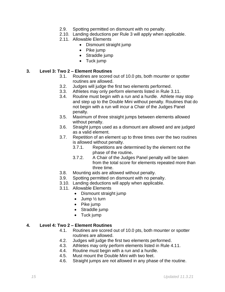- 2.9. Spotting permitted on dismount with no penalty.
- 2.10. Landing deductions per Rule 3 will apply when applicable.
- 2.11. Allowable Elements
	- Dismount straight jump
	- Pike jump
	- Straddle jump
	- Tuck jump

#### **3. Level 3: Two 2 – Element Routines**

- 3.1. Routines are scored out of 10.0 pts, both mounter or spotter routines are allowed.
- 3.2. Judges will judge the first two elements performed.
- 3.3. Athletes may only perform elements listed in Rule 3.11.
- 3.4. Routine must begin with a run and a hurdle. Athlete may stop and step up to the Double Mini without penalty. Routines that do not begin with a run will incur a Chair of the Judges Panel penalty.
- 3.5. Maximum of three straight jumps between elements allowed without penalty.
- 3.6. Straight jumps used as a dismount are allowed and are judged as a valid element.
- 3.7. Repetition of an element up to three times over the two routines is allowed without penalty.
	- 3.7.1. Repetitions are determined by the element not the phase of the routine**.**
	- 3.7.2. A Chair of the Judges Panel penalty will be taken from the total score for elements repeated more than three time.
- 3.8. Mounting aids are allowed without penalty.
- 3.9. Spotting permitted on dismount with no penalty.
- 3.10. Landing deductions will apply when applicable.
- 3.11. Allowable Elements
	- Dismount straight jump
	- Jump 1/2 turn
	- Pike jump
	- Straddle jump
	- Tuck jump

#### **4. Level 4: Two 2 – Element Routines**

- 4.1. Routines are scored out of 10.0 pts, both mounter or spotter routines are allowed.
- 4.2. Judges will judge the first two elements performed.
- 4.3. Athletes may only perform elements listed in Rule 4.11.
- 4.4. Routine must begin with a run and a hurdle.
- 4.5. Must mount the Double Mini with two feet.
- 4.6. Straight jumps are not allowed in any phase of the routine.